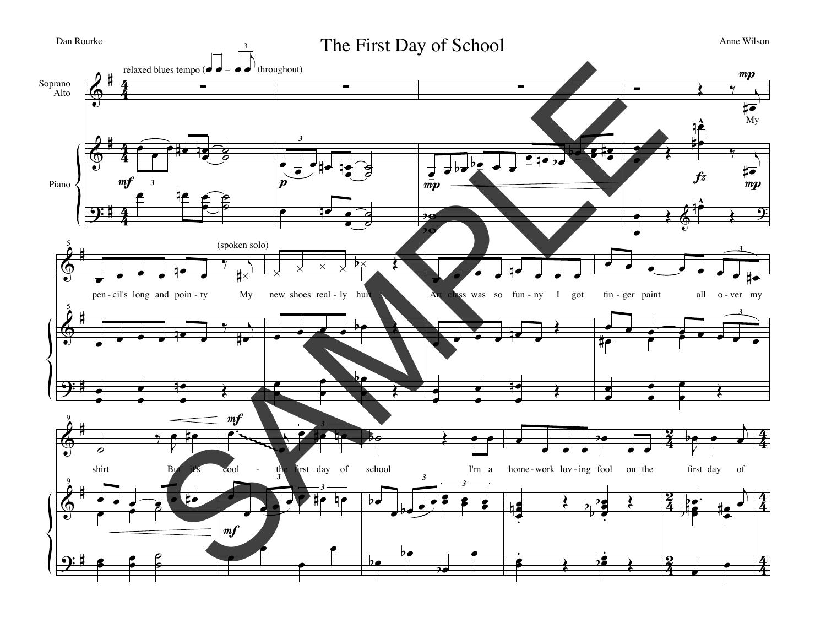